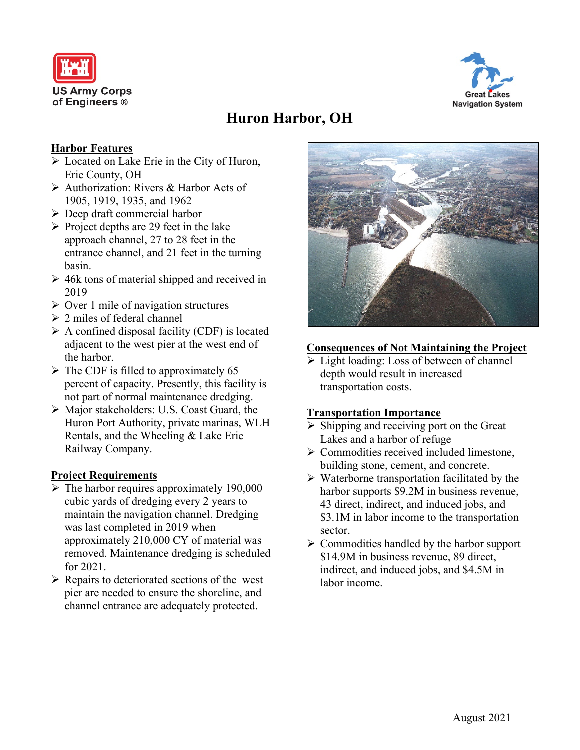



# **Huron Harbor, OH**

## **Harbor Features**

- $\triangleright$  Located on Lake Erie in the City of Huron, Erie County, OH
- Authorization: Rivers & Harbor Acts of 1905, 1919, 1935, and 1962
- $\triangleright$  Deep draft commercial harbor
- $\triangleright$  Project depths are 29 feet in the lake approach channel, 27 to 28 feet in the entrance channel, and 21 feet in the turning basin.
- $\geq 46k$  tons of material shipped and received in 2019
- $\triangleright$  Over 1 mile of navigation structures
- $\geq 2$  miles of federal channel
- $\triangleright$  A confined disposal facility (CDF) is located adjacent to the west pier at the west end of the harbor.
- $\triangleright$  The CDF is filled to approximately 65 percent of capacity. Presently, this facility is not part of normal maintenance dredging.
- Major stakeholders: U.S. Coast Guard, the Huron Port Authority, private marinas, WLH Rentals, and the Wheeling & Lake Erie Railway Company.

#### **Project Requirements**

- $\triangleright$  The harbor requires approximately 190,000 cubic yards of dredging every 2 years to maintain the navigation channel. Dredging was last completed in 2019 when approximately 210,000 CY of material was removed. Maintenance dredging is scheduled for 2021.
- $\triangleright$  Repairs to deteriorated sections of the west pier are needed to ensure the shoreline, and channel entrance are adequately protected.



## **Consequences of Not Maintaining the Project**

light loading: Loss of between of channel depth would result in increased transportation costs.

#### **Transportation Importance**

- $\triangleright$  Shipping and receiving port on the Great Lakes and a harbor of refuge
- $\triangleright$  Commodities received included limestone, building stone, cement, and concrete.
- $\triangleright$  Waterborne transportation facilitated by the harbor supports \$9.2M in business revenue, 43 direct, indirect, and induced jobs, and \$3.1M in labor income to the transportation sector.
- $\triangleright$  Commodities handled by the harbor support \$14.9M in business revenue, 89 direct, indirect, and induced jobs, and \$4.5M in labor income.